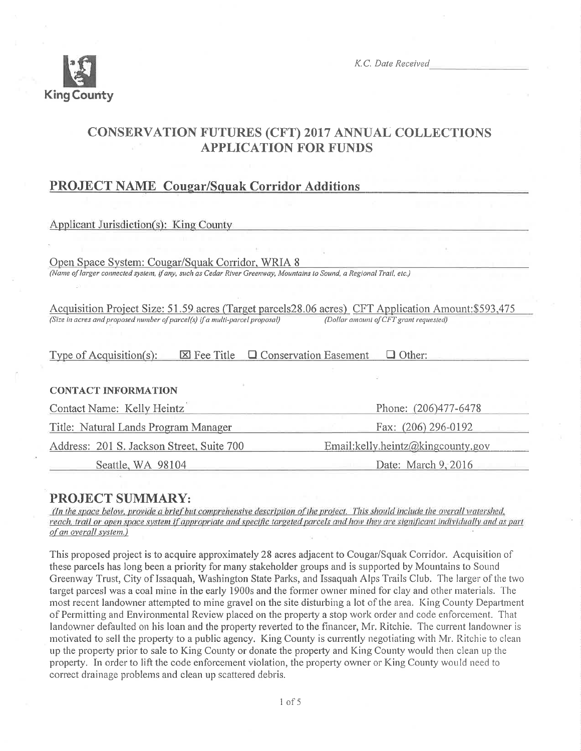

K.C. Date Received

# CONSERVATTON FUTURES (CFT) 2017 ANNUAL COLLECTTONS **APPLICATION FOR FUNDS**

# PROJECT NAME Cougar/Squak Corridor Additions

| Applicant Jurisdiction(s): King County                                                                                                                                                                                        |                                    |  |  |  |  |  |
|-------------------------------------------------------------------------------------------------------------------------------------------------------------------------------------------------------------------------------|------------------------------------|--|--|--|--|--|
|                                                                                                                                                                                                                               |                                    |  |  |  |  |  |
| Open Space System: Cougar/Squak Corridor, WRIA 8                                                                                                                                                                              |                                    |  |  |  |  |  |
| (Name of larger connected system, if any, such as Cedar River Greenway, Mountains to Sound, a Regional Trail, etc.)                                                                                                           |                                    |  |  |  |  |  |
|                                                                                                                                                                                                                               |                                    |  |  |  |  |  |
|                                                                                                                                                                                                                               |                                    |  |  |  |  |  |
| Acquisition Project Size: 51.59 acres (Target parcels 28.06 acres) CFT Application Amount: \$593,475<br>(Size in acres and proposed number of parcel(s) if a multi-parcel proposal)<br>(Dollar amount of CFT grant requested) |                                    |  |  |  |  |  |
|                                                                                                                                                                                                                               |                                    |  |  |  |  |  |
|                                                                                                                                                                                                                               |                                    |  |  |  |  |  |
| $\Box$ Conservation Easement<br>Type of Acquisition $(s)$ :<br>$\boxtimes$ Fee Title                                                                                                                                          | $\Box$ Other:                      |  |  |  |  |  |
|                                                                                                                                                                                                                               |                                    |  |  |  |  |  |
|                                                                                                                                                                                                                               |                                    |  |  |  |  |  |
| <b>CONTACT INFORMATION</b>                                                                                                                                                                                                    |                                    |  |  |  |  |  |
| Contact Name: Kelly Heintz                                                                                                                                                                                                    | Phone: (206)477-6478               |  |  |  |  |  |
| Title: Natural Lands Program Manager                                                                                                                                                                                          | Fax: (206) 296-0192                |  |  |  |  |  |
| Address: 201 S. Jackson Street, Suite 700                                                                                                                                                                                     | Email: kelly.heintz@kingcounty.gov |  |  |  |  |  |

**PROJECT SUMMARY:**<br>(In the space below, provide a brief but comprehensive description of the project. This should include the overall watershed, reach, trail or open space system if appropriate and specific targeted parcels and how they are significant individually and as part of an overall svstem.)

Seattle, WA 98104 Date: March 9, 2016

This proposed project is to acquire approximately 28 acres adjacent to Cougar/Squak Corridor. Acquisition of these parcels has long been a priority for many stakeholder groups and is supported by Mountains to Sound Greenway Trust, City of Issaquah, Washington State Parks, and Issaquah Alps Trails CIub. The larger of the two target parcesl was a coal mine in the early 1900s and the former owner mined for clay and other materials. The most recent landowner attempted to mine gravel on the site disturbing a lot of the area. King County Department of Permitting and Environmental Review placed on the property a stop work order and code enforcement. That landowner defaulted on his loan and the property reverted to the financer, Mr. Ritchie. The current landowner is motivated to sell the property to a public agency. King County is currently negotiating with Mr. Ritchie to clean up the property prior to sale to King County or donate the property and King County would then clean up the property. In order to lift the code enforcement violation, the property owner or King County would need to correct drainage problems and clean up scattered debris.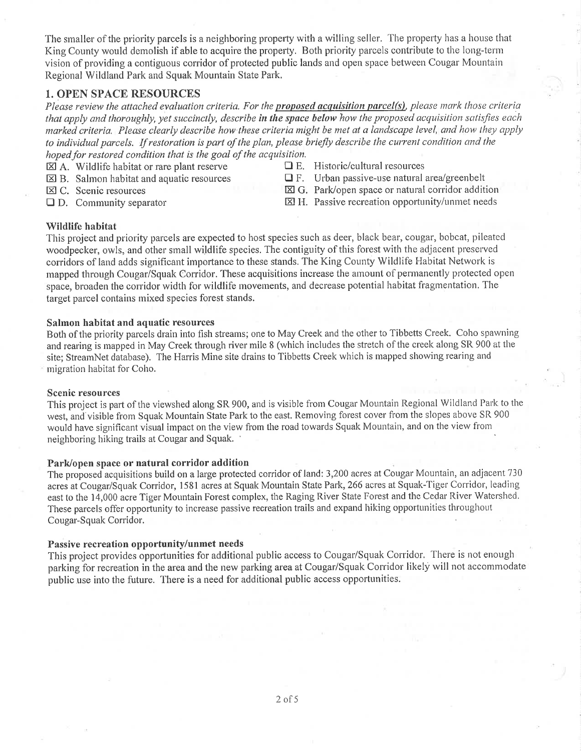The smaller of the priority parcels is a neighboring property with a willing seller. The property has a house that King County would demolish if able to acquire the property. Both priority parcels contribute to the long-term vision of providing a contiguous corridor of protected public lands and open space between Cougar Mountain Regional Wildland Park and Squak Mountain State Park,

# 1. OPEN SPACE RESOURCES

Please review the attached evaluation criteria. For the proposed acquisition parcel(s), please mark those criteria that apply and thoroughly, yet succinctly, describe in the space below how the proposed acquisition satisfies each marked criteria. Please clearly describe how these criteria might be met at a landscape level, and how they apply to individual parcels. If restoration is part of the plan, please briefly describe the current condition and the hoped for restored condition that is the goal of the acquisition.

- $\boxtimes$  A. Wildlife habitat or rare plant reserve  $\Box$  E. Historic/cultural resources  $\Box$  E. Urban passive-use natural and aquatic resources  $\Box$  F. Urban passive-use natural
- 
- 

 $\Box$  F. Urban passive-use natural area/greenbelt

- E C. Scenic resources El G. Park/open spaae or natural corridor addition
- $\Box$  D. Community separator  $\boxtimes$  H. Passive recreation opportunity/unmet needs

#### Wildlife habitat

This project and priority parcels are expected to host species such as deer, black bear, cougar, bobcat, pileated woodpecker, owls, and other small wildlife species. The contiguity of this forest with the adjacent preserved corridors of land adds significant importance to these stands. The King County Wildlife Habitat Network is mapped through Cougar/Squak Corridor. These acquisitions increase the amount of permanently protected open space, broaden the corridor width for wildlife movements, and decrease potential habitat fragmentation. The target parcel contains mixed species forest stands.

#### Salmon habitat and aquatic resources

Both of the priority parcels drain into fish streams; one to May Creek arid the other to Tibbetts Creek. Coho spawning and rearing is mapped in May Creek through river mile 8 (which includes the stretch of the creek along SR 900 at the site; StreamNet database). The Harris Mine site drains to Tibbetts Creek which is mapped showing rearing and migration habitat for Coho.

#### Scenic resources

This project is part of the viewshed along SR 900, and is visible from Cougar Mountain Regional Wildland Park to the west, and visible from Squak Mountain State Park to the east. Removing forest cover from the slopes above SR 900 would have significant visual impact on the view from the road towards Squak Mountain, and on the view from neighboring hiking trails at Cougar and Squak.

#### Park/open space or natural corridor addition

The proposed acquisitions build on a large protected corridor of land: 3,200 acres at Cougar Mountain, an adjacent 730 acres at Cougar/Squak Corridor, 1581 acres at Squak Mountain State Park, 266 acres at Squak-Tiger Corridor, leading east to the 14,000 acre Tiger Mountain Forest complex, the Raging River State Forest and the Cedar River Watershed. These parcels offer opportunity to increase passive recreation trails and expand liiking opportunities throughout Cougar-Squak Corridor.

#### Passive recreation opportunity/unmet needs

This project provides opportunities for additional public access to Cougar/Squak Corridor. There is not enough parking for recreation in the area and the new parking area at Cougar/Squak Corridor likely will not accommodate public use into the future. There is a need for additional public access opportunities.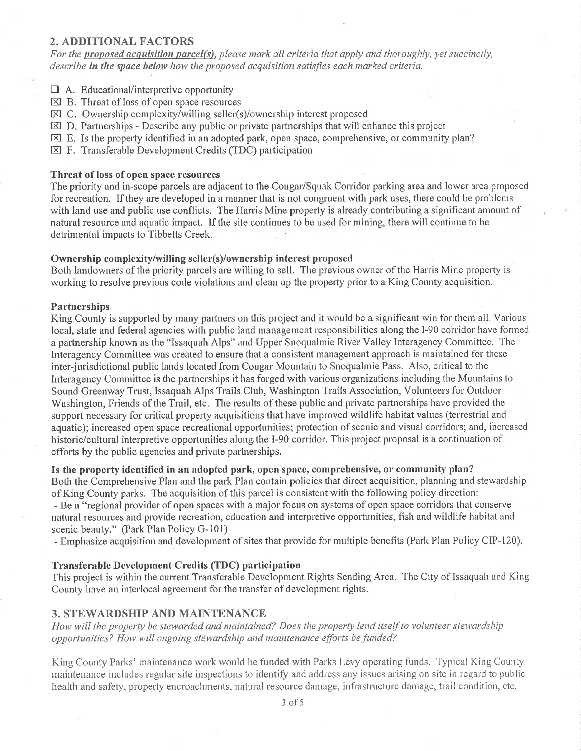# 2. ADDITIONAL FACTORS

For the proposed acquisition parcel(s), please mark all criteria that apply and thoroughly, yet succinctly, describe in the space below how the proposed acquisition satisfies each marked criteria.

- $\Box$  A. Educational/interpretive opportunity
- $\boxtimes$  B. Threat of loss of open space resources
- $\boxtimes$  C. Ownership complexity/willing seller(s)/ownership interest proposed
- $\boxtimes$  C. Ownership complexity/willing seller(s)/ownership interest proposed<br> $\boxtimes$  D. Partnerships Describe any public or private partnerships that will enhance this project
- $\boxtimes$  E. Is the property identified in an adopted park, open space, comprehensive, or community plan?
- EI F. Transferable Development Credits (TDC) participation

### Threat of loss of open space resources

The priority and in-scope parcels are adjacent to the Cougar/Squak Corridor parking area and lower area proposed for recreation. If they are developed in a manner that is not congruent with park uses, there could be problems with land use and public use conflicts. The Harris Mine property is already contributing a significant amount of natural resource and aquatic impact. If the site continues to be used for mining, there will continue to be detrimental impacts to Tibbetts Creek.

#### Ownership complexity/willing seller(s)/ownership interest proposed

Both landowners of the priority parcels are willing to sell. The previous owner of the Harris Mine property is working to resolve previous code violations and clean up the property prior to a King County acquisition.

#### Partnerships

King County is supported by many partners on this project and it would be a significant win for them all. Various local, state and federal agencies with public land management responsibilities along the I-90 corridor have formed a partnership known as the "Issaquah Alps" and Upper Snoqualmie River Valley Interagency Committee. The Interagency Committee was created to ensure that a consistent management approach is rnaintained for these inter-jurisdictional public lands located from Cougar Mountain to Snoqualmie Pass. Also, critical to the Interagency Committee is the partnerships it has forged with various organizations including the Mountains to Sound Greenway Trust, Issaquah Alps Trails Club, Washington Trails Association, Volunteers for Outdoor Washington, Friends of the Trail, etc. The results of these public and private partnerships have provided the support necessary for critical property acquisitions that have improved wildlife habitat values (terrestrial and aquatic); increased open space recreational opportunities; protection of scenic and visual corridors; and, increased historic/cultural interpretive opportunities along the I-90 corridor. This project proposal is a continuation of efforts by the public agencies and private partnerships.

Is the property identified in an adopted park, open space, comprehensive, or community plan?

Both the Comprehensive Plan and the park Plan contain policies that direct acquisition, planning and stewardship of King County parks. The acquisition of this parcel is consistent with the following policy direction:

- Be a "regional provider of open spaces with a major focus on systems of open space corridors that conserve natural resources and provide recreation, education and interpretive opportunities, fish and wildlife habitat and scenic beauty." (Park Plan Policy G-101)

- Emphasize acquisition and development of sites that provide for multiple benefits (Park Plan Policy CIP-120).

### Transferable Development Credits (TDC) participation

This project is within the current Transferable Development Rights Sending Area. The City of Issaquah and King County have an interlocal agreement for the transfer of development rights.

### 3. STEWARDSHIP AND MAINTENANCE

How will the property be stewarded and maintained? Does the property lend itself to volunteer stewardship opportunities? How will ongoing stewardship and maintenance efforts be funded?

King County Parks' maintenance work would be funded with Parks Levy operating funds. Typical King County maintenance includes regular site inspections to identify and address any issues arising on site in regard to public health and safety, property encroachments, natural resource damage, infrastructure damage, trail condition, etc.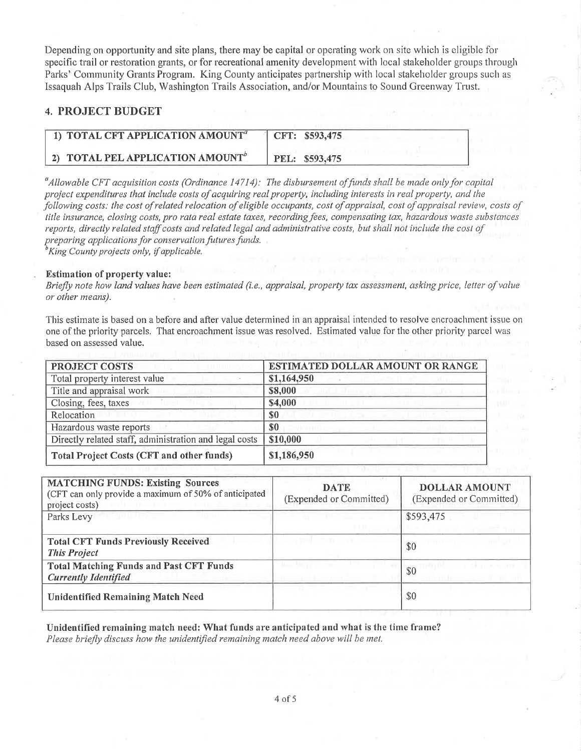Depending on opportunity and site plans, there may be capital or operating work on site which is eligible for specific trail or restoration grants, or for recreational amenity development with local stakeholder groups through Parks' Community Grants Program. King County anticipates partnership with local stakeholder groups such as Issaquah Alps Trails Club, Washington Trails Association, and/or Mountains to Sound Greenway Trust.

# **4. PROJECT BUDGET**

| 1) TOTAL CFT APPLICATION AMOUNT <sup>a</sup> | CFT: \$593,475 |
|----------------------------------------------|----------------|
| 2) TOTAL PEL APPLICATION AMOUNT <sup>®</sup> | PEL: \$593,475 |

 $\alpha$ <sup>a</sup> Allowable CFT acquisition costs (Ordinance 14714): The disbursement of funds shall be made only for capital project expenditures that include costs of acquiring real property, including interests in real property, and the following costs: the cost of related relocation of eligible occupants, cost of appraisal, cost of appraisal review, costs of title insurance, closing costs, pro rata real estate taxes, recording fees, compensating tax, hazardous waste substances reports, directly related staff costs and related legal and administrative costs, but shall not include the cost of preparing applications for conservation futures funds.

King County projects only, if applicable.

#### **Estimation of property value:**

Briefly note how land values have been estimated (i.e., appraisal, property tax assessment, asking price, letter of value or other means).

This estimate is based on a before and after value determined in an appraisal intended to resolve encroachment issue on one of the priority parcels. That encroachment issue was resolved. Estimated value for the other priority parcel was based on assessed value.

| PROJECT COSTS                                          | ESTIMATED DOLLAR AMOUNT OR RANGE                           |  |
|--------------------------------------------------------|------------------------------------------------------------|--|
| Total property interest value                          | \$1,164,950                                                |  |
| Title and appraisal work                               | \$8,000<br><b>CONTRACT THE MAINTEN DESCRIPTION OF REAL</b> |  |
| Closing, fees, taxes<br>in the series                  | \$4,000                                                    |  |
| Relocation                                             | \$0                                                        |  |
| Hazardous waste reports                                | \$0                                                        |  |
| Directly related staff, administration and legal costs | \$10,000                                                   |  |
| <b>Total Project Costs (CFT and other funds)</b>       | \$1,186,950                                                |  |

| <b>MATCHING FUNDS: Existing Sources</b><br>(CFT can only provide a maximum of 50% of anticipated<br>and a company of the property of the company<br>project costs)                                                                                 | <b>DATE</b><br>(Expended or Committed) | <b>DOLLAR AMOUNT</b><br>(Expended or Committed) |
|----------------------------------------------------------------------------------------------------------------------------------------------------------------------------------------------------------------------------------------------------|----------------------------------------|-------------------------------------------------|
| Parks Levy<br><u>The contract of the contract of the contract of the contract of the contract of the contract of the contract of the contract of the contract of the contract of the contract of the contract of the contract of the contract </u> |                                        | \$593,475                                       |
| <b>Total CFT Funds Previously Received</b><br><b>This Project</b>                                                                                                                                                                                  |                                        | \$0                                             |
| <b>Total Matching Funds and Past CFT Funds</b><br><b>Currently Identified</b>                                                                                                                                                                      |                                        | \$0                                             |
| <b>Unidentified Remaining Match Need</b>                                                                                                                                                                                                           |                                        | \$0                                             |

Unidentified remaining match need: What funds are anticipated and what is the time frame? Please briefly discuss how the unidentified remaining match need above will be met.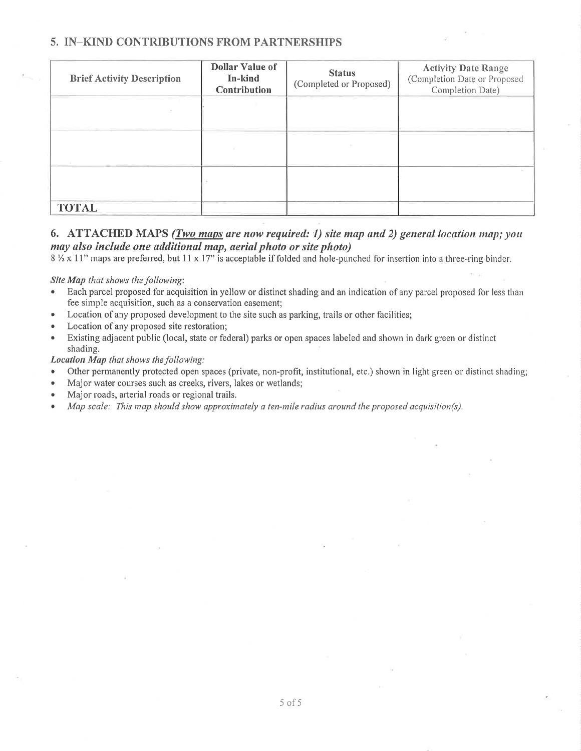# 5. IN\_KIND CONTRIBUTIONS FROM PARTNERSHIPS

| <b>Brief Activity Description</b> | <b>Dollar Value of</b><br>In-kind<br>Contribution | <b>Status</b><br>(Completed or Proposed) | <b>Activity Date Range</b><br>(Completion Date or Proposed<br>Completion Date) |
|-----------------------------------|---------------------------------------------------|------------------------------------------|--------------------------------------------------------------------------------|
|                                   |                                                   |                                          |                                                                                |
|                                   |                                                   |                                          |                                                                                |
|                                   |                                                   |                                          |                                                                                |
| <b>TOTAL</b>                      |                                                   |                                          |                                                                                |

# 6. ATTACHED MAPS (*Two maps are now required: 1) site map and 2) general location map; you* may also include one additional map, aerial photo or site photo)

 $8\frac{1}{2}$  x 11" maps are preferred, but 11 x 17" is acceptable if folded and hole-punched for insertion into a three-ring binder.

#### Site Map that shows the following:

- Each parcel proposed for acquisition in yellow or distinct shading and an indication of any parcel proposed for less than fee simple acquisition, such as a conservation easement;
- . Location of any proposed development to the site such as parking, trails or other facilities;
- . Location ofany proposed site restoration;
- . Existing adjacent public (local, state or federal) parks or open spaces labeled and shown in dark green or distinct shading.

#### Location Map that shows the following:

- . Other permanently protected open spaces (private, non-profit, institutional, etc.) shown in light green or distinct shading;
- . Major water courses such as creeks, rivers, Iakes or wetlands;
- . Major roads, arterial roads or regional trails,
- Map scale: This map should show approximately a ten-mile radius around the proposed acquisition(s).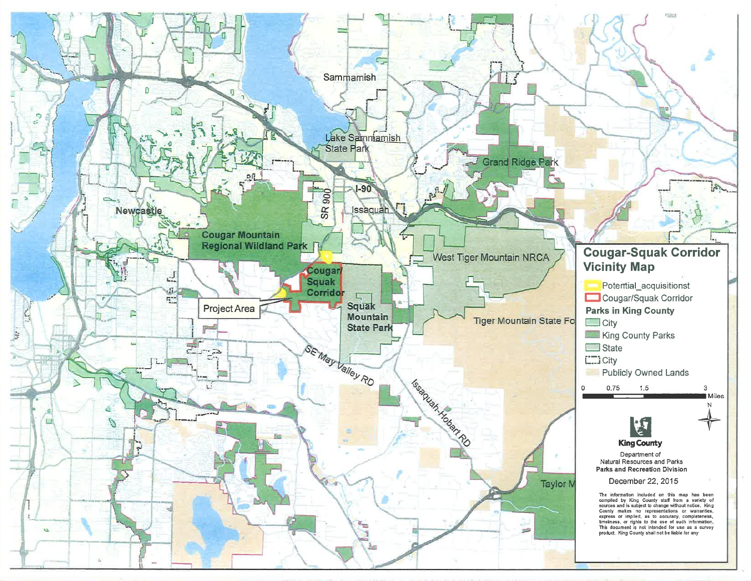